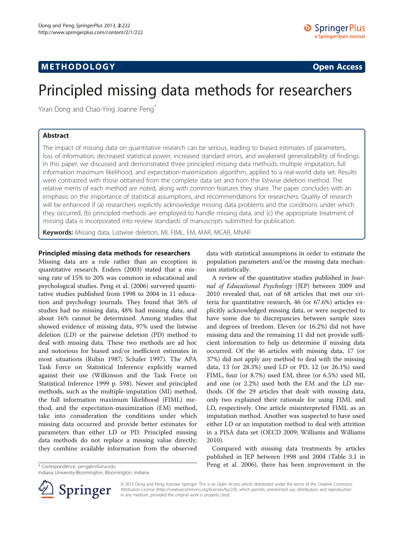## **METHODOLOGY CONSUMING ACCESS**

# Principled missing data methods for researchers

Yiran Dong and Chao-Ying Joanne Peng<sup>®</sup>

## Abstract

The impact of missing data on quantitative research can be serious, leading to biased estimates of parameters, loss of information, decreased statistical power, increased standard errors, and weakened generalizability of findings. In this paper, we discussed and demonstrated three principled missing data methods: multiple imputation, full information maximum likelihood, and expectation-maximization algorithm, applied to a real-world data set. Results were contrasted with those obtained from the complete data set and from the listwise deletion method. The relative merits of each method are noted, along with common features they share. The paper concludes with an emphasis on the importance of statistical assumptions, and recommendations for researchers. Quality of research will be enhanced if (a) researchers explicitly acknowledge missing data problems and the conditions under which they occurred, (b) principled methods are employed to handle missing data, and (c) the appropriate treatment of missing data is incorporated into review standards of manuscripts submitted for publication.

Keywords: Missing data, Listwise deletion, MI, FIML, EM, MAR, MCAR, MNAR

#### Principled missing data methods for researchers

Missing data are a rule rather than an exception in quantitative research. Enders [\(2003\)](#page-15-0) stated that a missing rate of 15% to 20% was common in educational and psychological studies. Peng et al. [\(2006\)](#page-15-0) surveyed quantitative studies published from 1998 to 2004 in 11 education and psychology journals. They found that 36% of studies had no missing data, 48% had missing data, and about 16% cannot be determined. Among studies that showed evidence of missing data, 97% used the listwise deletion (LD) or the pairwise deletion (PD) method to deal with missing data. These two methods are ad hoc and notorious for biased and/or inefficient estimates in most situations (Rubin [1987](#page-16-0); Schafer [1997](#page-16-0)). The APA Task Force on Statistical Inference explicitly warned against their use (Wilkinson and the Task Force on Statistical Inference [1999](#page-16-0) p. 598). Newer and principled methods, such as the multiple-imputation (MI) method, the full information maximum likelihood (FIML) method, and the expectation-maximization (EM) method, take into consideration the conditions under which missing data occurred and provide better estimates for parameters than either LD or PD. Principled missing data methods do not replace a missing value directly; they combine available information from the observed

Indiana University-Bloomington, Bloomington, Indiana



A review of the quantitative studies published in Journal of Educational Psychology (JEP) between 2009 and 2010 revealed that, out of 68 articles that met our criteria for quantitative research, 46 (or 67.6%) articles explicitly acknowledged missing data, or were suspected to have some due to discrepancies between sample sizes and degrees of freedom. Eleven (or 16.2%) did not have missing data and the remaining 11 did not provide sufficient information to help us determine if missing data occurred. Of the 46 articles with missing data, 17 (or 37%) did not apply any method to deal with the missing data, 13 (or 28.3%) used LD or PD, 12 (or 26.1%) used FIML, four (or 8.7%) used EM, three (or 6.5%) used MI, and one (or 2.2%) used both the EM and the LD methods. Of the 29 articles that dealt with missing data, only two explained their rationale for using FIML and LD, respectively. One article misinterpreted FIML as an imputation method. Another was suspected to have used either LD or an imputation method to deal with attrition in a PISA data set (OECD [2009;](#page-15-0) Williams and Williams [2010](#page-16-0)).

Compared with missing data treatments by articles published in JEP between 1998 and 2004 (Table 3.1 in \*Correspondence: [peng@indiana.edu](mailto:peng@indiana.edu) **Peng et al. [2006](#page-15-0)**), there has been improvement in the



© 2013 Dong and Peng; licensee Springer. This is an Open Access article distributed under the terms of the Creative Commons Attribution License [\(http://creativecommons.org/licenses/by/2.0\)](http://creativecommons.org/licenses/by/2.0), which permits unrestricted use, distribution, and reproduction in any medium, provided the original work is properly cited.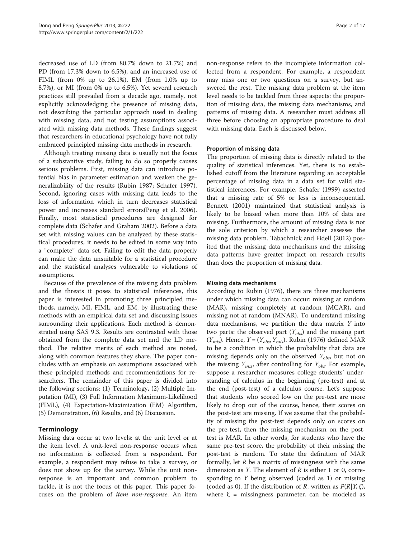decreased use of LD (from 80.7% down to 21.7%) and PD (from 17.3% down to 6.5%), and an increased use of FIML (from 0% up to 26.1%), EM (from 1.0% up to 8.7%), or MI (from 0% up to 6.5%). Yet several research practices still prevailed from a decade ago, namely, not explicitly acknowledging the presence of missing data, not describing the particular approach used in dealing with missing data, and not testing assumptions associated with missing data methods. These findings suggest that researchers in educational psychology have not fully embraced principled missing data methods in research.

Although treating missing data is usually not the focus of a substantive study, failing to do so properly causes serious problems. First, missing data can introduce potential bias in parameter estimation and weaken the generalizability of the results (Rubin [1987;](#page-16-0) Schafer [1997](#page-16-0)). Second, ignoring cases with missing data leads to the loss of information which in turn decreases statistical power and increases standard errors(Peng et al. [2006](#page-15-0)). Finally, most statistical procedures are designed for complete data (Schafer and Graham [2002](#page-16-0)). Before a data set with missing values can be analyzed by these statistical procedures, it needs to be edited in some way into a "complete" data set. Failing to edit the data properly can make the data unsuitable for a statistical procedure and the statistical analyses vulnerable to violations of assumptions.

Because of the prevalence of the missing data problem and the threats it poses to statistical inferences, this paper is interested in promoting three principled methods, namely, MI, FIML, and EM, by illustrating these methods with an empirical data set and discussing issues surrounding their applications. Each method is demonstrated using SAS 9.3. Results are contrasted with those obtained from the complete data set and the LD method. The relative merits of each method are noted, along with common features they share. The paper concludes with an emphasis on assumptions associated with these principled methods and recommendations for researchers. The remainder of this paper is divided into the following sections: (1) Terminology, (2) Multiple Imputation (MI), (3) Full Information Maximum-Likelihood (FIML), (4) Expectation-Maximization (EM) Algorithm, (5) Demonstration, (6) Results, and (6) Discussion.

## Terminology

Missing data occur at two levels: at the unit level or at the item level. A unit-level non-response occurs when no information is collected from a respondent. For example, a respondent may refuse to take a survey, or does not show up for the survey. While the unit nonresponse is an important and common problem to tackle, it is not the focus of this paper. This paper focuses on the problem of item non-response. An item

non-response refers to the incomplete information collected from a respondent. For example, a respondent may miss one or two questions on a survey, but answered the rest. The missing data problem at the item level needs to be tackled from three aspects: the proportion of missing data, the missing data mechanisms, and patterns of missing data. A researcher must address all three before choosing an appropriate procedure to deal with missing data. Each is discussed below.

## Proportion of missing data

The proportion of missing data is directly related to the quality of statistical inferences. Yet, there is no established cutoff from the literature regarding an acceptable percentage of missing data in a data set for valid statistical inferences. For example, Schafer ([1999](#page-16-0)) asserted that a missing rate of 5% or less is inconsequential. Bennett [\(2001\)](#page-15-0) maintained that statistical analysis is likely to be biased when more than 10% of data are missing. Furthermore, the amount of missing data is not the sole criterion by which a researcher assesses the missing data problem. Tabachnick and Fidell ([2012\)](#page-16-0) posited that the missing data mechanisms and the missing data patterns have greater impact on research results than does the proportion of missing data.

#### Missing data mechanisms

According to Rubin ([1976\)](#page-16-0), there are three mechanisms under which missing data can occur: missing at random (MAR), missing completely at random (MCAR), and missing not at random (MNAR). To understand missing data mechanisms, we partition the data matrix  $Y$  into two parts: the observed part  $(Y_{obs})$  and the missing part  $(Y_{mis})$ . Hence,  $Y = (Y_{obs}, Y_{mis})$ . Rubin [\(1976\)](#page-16-0) defined MAR to be a condition in which the probability that data are missing depends only on the observed  $Y_{obs}$ , but not on the missing  $Y_{mis}$ , after controlling for  $Y_{obs}$ . For example, suppose a researcher measures college students' understanding of calculus in the beginning (pre-test) and at the end (post-test) of a calculus course. Let's suppose that students who scored low on the pre-test are more likely to drop out of the course, hence, their scores on the post-test are missing. If we assume that the probability of missing the post-test depends only on scores on the pre-test, then the missing mechanism on the posttest is MAR. In other words, for students who have the same pre-test score, the probability of their missing the post-test is random. To state the definition of MAR formally, let  $R$  be a matrix of missingness with the same dimension as  $Y$ . The element of  $R$  is either 1 or 0, corresponding to Y being observed (coded as 1) or missing (coded as 0). If the distribution of R, written as  $P(R|Y,\xi)$ , where  $\xi$  = missingness parameter, can be modeled as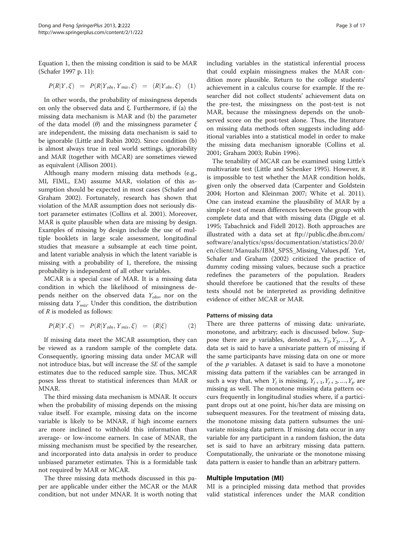Equation 1, then the missing condition is said to be MAR (Schafer [1997](#page-16-0) p. 11):

$$
P(R|Y,\xi) = P(R|Y_{obs}, Y_{mis}, \xi) = (R|Y_{obs}, \xi) \quad (1)
$$

In other words, the probability of missingness depends on only the observed data and ξ. Furthermore, if (a) the missing data mechanism is MAR and (b) the parameter of the data model (θ) and the missingness parameter  $\xi$ are independent, the missing data mechanism is said to be ignorable (Little and Rubin [2002](#page-15-0)). Since condition (b) is almost always true in real world settings, ignorability and MAR (together with MCAR) are sometimes viewed as equivalent (Allison [2001](#page-15-0)).

Although many modern missing data methods (e.g., MI, FIML, EM) assume MAR, violation of this assumption should be expected in most cases (Schafer and Graham [2002\)](#page-16-0). Fortunately, research has shown that violation of the MAR assumption does not seriously distort parameter estimates (Collins et al. [2001](#page-15-0)). Moreover, MAR is quite plausible when data are missing by design. Examples of missing by design include the use of multiple booklets in large scale assessment, longitudinal studies that measure a subsample at each time point, and latent variable analysis in which the latent variable is missing with a probability of 1, therefore, the missing probability is independent of all other variables.

MCAR is a special case of MAR. It is a missing data condition in which the likelihood of missingness depends neither on the observed data  $Y_{obs}$  nor on the missing data  $Y_{mis}$ . Under this condition, the distribution of R is modeled as follows:

$$
P(R|Y,\xi) = P(R|Y_{obs}, Y_{mis}, \xi) = (R|\xi)
$$
 (2)

If missing data meet the MCAR assumption, they can be viewed as a random sample of the complete data. Consequently, ignoring missing data under MCAR will not introduce bias, but will increase the SE of the sample estimates due to the reduced sample size. Thus, MCAR poses less threat to statistical inferences than MAR or MNAR.

The third missing data mechanism is MNAR. It occurs when the probability of missing depends on the missing value itself. For example, missing data on the income variable is likely to be MNAR, if high income earners are more inclined to withhold this information than average- or low-income earners. In case of MNAR, the missing mechanism must be specified by the researcher, and incorporated into data analysis in order to produce unbiased parameter estimates. This is a formidable task not required by MAR or MCAR.

The three missing data methods discussed in this paper are applicable under either the MCAR or the MAR condition, but not under MNAR. It is worth noting that including variables in the statistical inferential process that could explain missingness makes the MAR condition more plausible. Return to the college students' achievement in a calculus course for example. If the researcher did not collect students' achievement data on the pre-test, the missingness on the post-test is not MAR, because the missingness depends on the unobserved score on the post-test alone. Thus, the literature on missing data methods often suggests including additional variables into a statistical model in order to make the missing data mechanism ignorable (Collins et al. [2001](#page-15-0); Graham [2003](#page-15-0); Rubin [1996](#page-16-0)).

The tenability of MCAR can be examined using Little's multivariate test (Little and Schenker [1995\)](#page-15-0). However, it is impossible to test whether the MAR condition holds, given only the observed data (Carpenter and Goldstein [2004](#page-15-0); Horton and Kleinman [2007](#page-15-0); White et al. [2011](#page-16-0)). One can instead examine the plausibility of MAR by a simple t-test of mean differences between the group with complete data and that with missing data (Diggle et al. [1995](#page-15-0); Tabachnick and Fidell [2012\)](#page-16-0). Both approaches are illustrated with a data set at [ftp://public.dhe.ibm.com/](ftp://public.dhe.ibm.com/software/analytics/spss/documentation/statistics/20.0/en/client/Manuals/IBM_SPSS_Missing_Values.pdf) [software/analytics/spss/documentation/statistics/20.0/](ftp://public.dhe.ibm.com/software/analytics/spss/documentation/statistics/20.0/en/client/Manuals/IBM_SPSS_Missing_Values.pdf) [en/client/Manuals/IBM\\_SPSS\\_Missing\\_Values.pdf.](ftp://public.dhe.ibm.com/software/analytics/spss/documentation/statistics/20.0/en/client/Manuals/IBM_SPSS_Missing_Values.pdf) Yet, Schafer and Graham [\(2002\)](#page-16-0) criticized the practice of dummy coding missing values, because such a practice redefines the parameters of the population. Readers should therefore be cautioned that the results of these tests should not be interpreted as providing definitive evidence of either MCAR or MAR.

#### Patterns of missing data

There are three patterns of missing data: univariate, monotone, and arbitrary; each is discussed below. Suppose there are p variables, denoted as,  $Y_2, Y_2, ..., Y_n$ . A data set is said to have a univariate pattern of missing if the same participants have missing data on one or more of the  $p$  variables. A dataset is said to have a monotone missing data pattern if the variables can be arranged in such a way that, when  $Y_j$  is missing,  $Y_{j+1}, Y_{j+2}, ..., Y_p$  are missing as well. The monotone missing data pattern occurs frequently in longitudinal studies where, if a participant drops out at one point, his/her data are missing on subsequent measures. For the treatment of missing data, the monotone missing data pattern subsumes the univariate missing data pattern. If missing data occur in any variable for any participant in a random fashion, the data set is said to have an arbitrary missing data pattern. Computationally, the univariate or the monotone missing data pattern is easier to handle than an arbitrary pattern.

#### Multiple Imputation (MI)

MI is a principled missing data method that provides valid statistical inferences under the MAR condition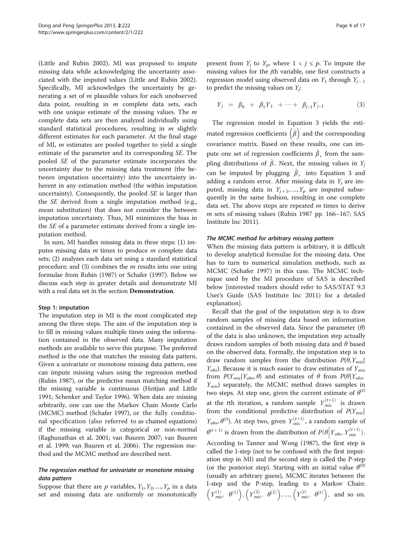(Little and Rubin [2002](#page-15-0)). MI was proposed to impute missing data while acknowledging the uncertainty associated with the imputed values (Little and Rubin [2002](#page-15-0)). Specifically, MI acknowledges the uncertainty by generating a set of m plausible values for each unobserved data point, resulting in  $m$  complete data sets, each with one unique estimate of the missing values. The  $m$ complete data sets are then analyzed individually using standard statistical procedures, resulting in  $m$  slightly different estimates for each parameter. At the final stage of MI,  $m$  estimates are pooled together to yield a single estimate of the parameter and its corresponding SE. The pooled SE of the parameter estimate incorporates the uncertainty due to the missing data treatment (the between imputation uncertainty) into the uncertainty inherent in any estimation method (the within imputation uncertainty). Consequently, the pooled SE is larger than the SE derived from a single imputation method (e.g., mean substitution) that does not consider the between imputation uncertainty. Thus, MI minimizes the bias in the SE of a parameter estimate derived from a single imputation method.

In sum, MI handles missing data in three steps: (1) imputes missing data  $m$  times to produce  $m$  complete data sets; (2) analyzes each data set using a standard statistical procedure; and  $(3)$  combines the *m* results into one using formulae from Rubin ([1987\)](#page-16-0) or Schafer ([1997\)](#page-16-0). Below we discuss each step in greater details and demonstrate MI with a real data set in the section Demonstration.

#### Step 1: imputation

The imputation step in MI is the most complicated step among the three steps. The aim of the imputation step is to fill in missing values multiple times using the information contained in the observed data. Many imputation methods are available to serve this purpose. The preferred method is the one that matches the missing data pattern. Given a univariate or monotone missing data pattern, one can impute missing values using the regression method (Rubin [1987](#page-16-0)), or the predictive mean matching method if the missing variable is continuous (Heitjan and Little [1991;](#page-15-0) Schenker and Taylor [1996\)](#page-16-0). When data are missing arbitrarily, one can use the Markov Chain Monte Carlo (MCMC) method (Schafer [1997\)](#page-16-0), or the fully conditional specification (also referred to as chained equations) if the missing variable is categorical or non-normal (Raghunathan et al. [2001](#page-16-0); van Buuren [2007;](#page-16-0) van Buuren et al. [1999](#page-16-0); van Buuren et al. [2006](#page-16-0)). The regression method and the MCMC method are described next.

## The regression method for univariate or monotone missing data pattern

Suppose that there are p variables,  $Y_1, Y_2, ..., Y_p$  in a data set and missing data are uniformly or monotonically present from  $Y_j$  to  $Y_p$ , where  $1 \lt j \leq p$ . To impute the missing values for the jth variable, one first constructs a regression model using observed data on  $Y_1$  through  $Y_{i-1}$ to predict the missing values on  $Y_i$ :

$$
Y_j = \beta_0 + \beta_1 Y_1 + \dots + \beta_{j-1} Y_{j-1} \tag{3}
$$

The regression model in Equation 3 yields the estimated regression coefficients  $(\hat{\beta})$  and the corresponding covariance matrix. Based on these results, one can impute one set of regression coefficients  $\hat{\beta}_*$  from the sampling distributions of  $\hat{\beta}$ . Next, the missing values in Y<sub>j</sub> can be imputed by plugging  $\hat{\beta}_*$  into Equation 3 and adding a random error. After missing data in  $Y_i$  are imputed, missing data in  $Y_{j+1},..., Y_p$  are imputed subsequently in the same fashion, resulting in one complete data set. The above steps are repeated  $m$  times to derive  $m$  sets of missing values (Rubin [1987](#page-16-0) pp. 166-167; SAS Institute Inc [2011\)](#page-16-0).

## The MCMC method for arbitrary missing pattern

When the missing data pattern is arbitrary, it is difficult to develop analytical formulae for the missing data. One has to turn to numerical simulation methods, such as MCMC (Schafer [1997](#page-16-0)) in this case. The MCMC technique used by the MI procedure of SAS is described below [interested readers should refer to SAS/STAT 9.3 User's Guide (SAS Institute Inc [2011\)](#page-16-0) for a detailed explanation].

Recall that the goal of the imputation step is to draw random samples of missing data based on information contained in the observed data. Since the parameter  $(\theta)$ of the data is also unknown, the imputation step actually draws random samples of both missing data and  $\theta$  based on the observed data. Formally, the imputation step is to draw random samples from the distribution  $P(\theta, Y_{mis})$  $Y_{obs}$ ). Because it is much easier to draw estimates of  $Y_{mis}$ from  $P(Y_{mis}|Y_{obs}, \theta)$  and estimates of  $\theta$  from  $P(\theta|Y_{obs}, \theta)$  $Y_{mis}$ ) separately, the MCMC method draws samples in two steps. At step one, given the current estimate of  $\theta^{(t)}$ at the *t*th iteration, a random sample  $Y_{mis}^{(t+1)}$  is drawn from the conditional predictive distribution of  $P(Y_{mis}|$  $Y_{obs}$ ,  $\theta^{(t)}$ ). At step two, given  $Y_{mis}^{(t+1)}$ , a random sample of  $\theta^{(t+1)}$  is drawn from the distribution of  $P(\theta | Y_{obs}, Y_{mis}^{(t+1)})$ . According to Tanner and Wong ([1987\)](#page-16-0), the first step is called the I-step (not to be confused with the first imputation step in MI) and the second step is called the P-step (or the posterior step). Starting with an initial value  $\theta^{(0)}$ (usually an arbitrary guess), MCMC iterates between the I-step and the P-step, leading to a Markov Chain:  $(Y_{mis}^{(1)}, \theta^{(1)}), (Y_{mis}^{(2)}, \theta^{(2)}), ..., (Y_{mis}^{(t)}, \theta^{(t)}),$  and so on.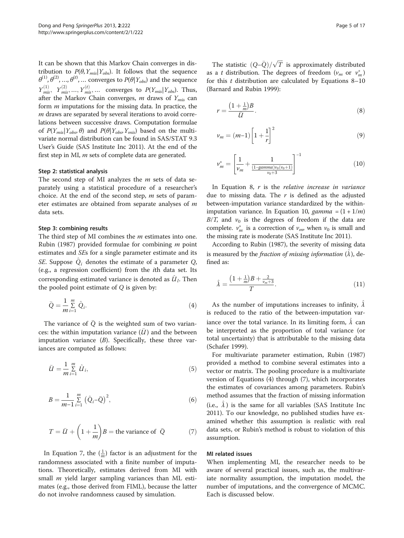It can be shown that this Markov Chain converges in distribution to  $P(\theta, Y_{mis}|Y_{obs})$ . It follows that the sequence  $\theta^{(1)}, \theta^{(2)}, ..., \theta^{(t)}, ...$  converges to  $P(\theta|Y_{obs})$  and the sequence  $Y_{mis}^{(1)}, Y_{mis}^{(2)}, ..., Y_{mis}^{(t)}, ...$  converges to  $P(Y_{mis}|Y_{obs})$ . Thus, after the Markov Chain converges, m draws of  $Y_{mis}$  can form  $m$  imputations for the missing data. In practice, the  $m$  draws are separated by several iterations to avoid correlations between successive draws. Computation formulae of  $P(Y_{mis}|Y_{obs}, \theta)$  and  $P(\theta|Y_{obs}, Y_{mis})$  based on the multivariate normal distribution can be found in SAS/STAT 9.3 User's Guide (SAS Institute Inc [2011\)](#page-16-0). At the end of the first step in MI, m sets of complete data are generated.

#### Step 2: statistical analysis

The second step of MI analyzes the  $m$  sets of data separately using a statistical procedure of a researcher's choice. At the end of the second step,  $m$  sets of parameter estimates are obtained from separate analyses of m data sets.

#### Step 3: combining results

The third step of MI combines the  $m$  estimates into one. Rubin [\(1987\)](#page-16-0) provided formulae for combining  $m$  point estimates and SEs for a single parameter estimate and its SE. Suppose  $\hat{Q}_i$  denotes the estimate of a parameter  $Q_i$ , (e.g., a regression coefficient) from the ith data set. Its corresponding estimated variance is denoted as  $U_l$ . Then the pooled point estimate of  $Q$  is given by:

$$
\bar{Q} = \frac{1}{m} \sum_{i=1}^{m} \hat{Q}_i.
$$
\n(4)

The variance of  $\bar{Q}$  is the weighted sum of two variances: the within imputation variance  $(\bar{U})$  and the between imputation variance  $(B)$ . Specifically, these three variances are computed as follows:

$$
\bar{U} = \frac{1}{m} \sum_{i=1}^{m} \hat{U}_i,
$$
\n<sup>(5)</sup>

$$
B = \frac{1}{m-1} \sum_{i=1}^{m} (\hat{Q}_i - \bar{Q})^2,
$$
\n(6)

$$
T = \bar{U} + \left(1 + \frac{1}{m}\right)B = \text{the variance of } \bar{Q} \tag{7}
$$

In Equation 7, the  $(\frac{1}{m})$  factor is an adjustment for the randomness associated with a finite number of imputations. Theoretically, estimates derived from MI with small  $m$  yield larger sampling variances than ML estimates (e.g., those derived from FIML), because the latter do not involve randomness caused by simulation.

The statistic  $(Q-\bar{Q})/\sqrt{T}$  is approximately distributed as a t distribution. The degrees of freedom  $(v_m$  or  $v_m^*$ ) for this  $t$  distribution are calculated by Equations 8-10 (Barnard and Rubin [1999\)](#page-15-0):

$$
r = \frac{\left(1 + \frac{1}{m}\right)B}{\bar{U}}.\tag{8}
$$

$$
\nu_m = (m-1)\left[1 + \frac{1}{r}\right]^2\tag{9}
$$

$$
\nu_m^* = \left[\frac{1}{\nu_m} + \frac{1}{\frac{(1-gamma)v_0(v_0+1)}{v_0+3}}\right]^{-1} \tag{10}
$$

In Equation 8,  $r$  is the *relative increase in variance* due to missing data. The  $r$  is defined as the adjusted between-imputation variance standardized by the withinimputation variance. In Equation 10,  $gamma = (1 + 1/m)$  $B/T$ , and  $v_0$  is the degrees of freedom if the data are complete.  $v_m^*$  is a correction of  $v_m$ , when  $v_0$  is small and the missing rate is moderate (SAS Institute Inc [2011\)](#page-16-0).

According to Rubin [\(1987\)](#page-16-0), the severity of missing data is measured by the fraction of missing information  $(\lambda)$ , defined as:

$$
\hat{\lambda} = \frac{\left(1 + \frac{1}{m}\right)B + \frac{2}{\nu_m + 3}}{T}.
$$
\n(11)

As the number of imputations increases to infinity,  $\lambda$ is reduced to the ratio of the between-imputation variance over the total variance. In its limiting form,  $\lambda$  can be interpreted as the proportion of total variance (or total uncertainty) that is attributable to the missing data (Schafer [1999\)](#page-16-0).

For multivariate parameter estimation, Rubin ([1987](#page-16-0)) provided a method to combine several estimates into a vector or matrix. The pooling procedure is a multivariate version of Equations (4) through (7), which incorporates the estimates of covariances among parameters. Rubin's method assumes that the fraction of missing information (i.e.,  $\lambda$ ) is the same for all variables (SAS Institute Inc [2011](#page-16-0)). To our knowledge, no published studies have examined whether this assumption is realistic with real data sets, or Rubin's method is robust to violation of this assumption.

#### MI related issues

When implementing MI, the researcher needs to be aware of several practical issues, such as, the multivariate normality assumption, the imputation model, the number of imputations, and the convergence of MCMC. Each is discussed below.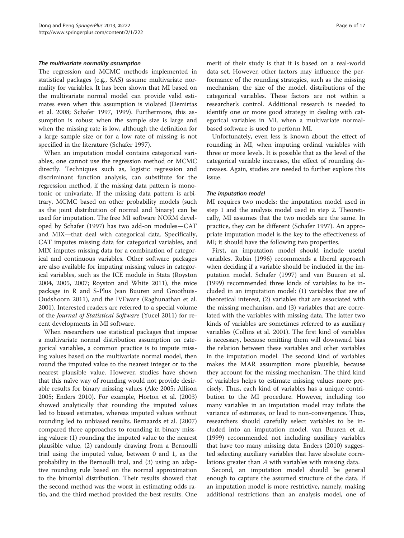#### The multivariate normality assumption

The regression and MCMC methods implemented in statistical packages (e.g., SAS) assume multivariate normality for variables. It has been shown that MI based on the multivariate normal model can provide valid estimates even when this assumption is violated (Demirtas et al. [2008](#page-15-0); Schafer [1997, 1999](#page-16-0)). Furthermore, this assumption is robust when the sample size is large and when the missing rate is low, although the definition for a large sample size or for a low rate of missing is not specified in the literature (Schafer [1997](#page-16-0)).

When an imputation model contains categorical variables, one cannot use the regression method or MCMC directly. Techniques such as, logistic regression and discriminant function analysis, can substitute for the regression method, if the missing data pattern is monotonic or univariate. If the missing data pattern is arbitrary, MCMC based on other probability models (such as the joint distribution of normal and binary) can be used for imputation. The free MI software NORM developed by Schafer [\(1997\)](#page-16-0) has two add-on modules—CAT and MIX—that deal with categorical data. Specifically, CAT imputes missing data for categorical variables, and MIX imputes missing data for a combination of categorical and continuous variables. Other software packages are also available for imputing missing values in categorical variables, such as the ICE module in Stata (Royston [2004](#page-16-0), [2005, 2007](#page-16-0); Royston and White [2011](#page-16-0)), the mice package in R and S-Plus (van Buuren and Groothuis-Oudshoorn [2011\)](#page-16-0), and the IVEware (Raghunathan et al. [2001](#page-16-0)). Interested readers are referred to a special volume of the Journal of Statistical Software (Yucel [2011\)](#page-16-0) for recent developments in MI software.

When researchers use statistical packages that impose a multivariate normal distribution assumption on categorical variables, a common practice is to impute missing values based on the multivariate normal model, then round the imputed value to the nearest integer or to the nearest plausible value. However, studies have shown that this naïve way of rounding would not provide desirable results for binary missing values (Ake [2005](#page-15-0); Allison [2005](#page-15-0); Enders [2010](#page-15-0)). For example, Horton et al. ([2003](#page-15-0)) showed analytically that rounding the imputed values led to biased estimates, whereas imputed values without rounding led to unbiased results. Bernaards et al. ([2007](#page-15-0)) compared three approaches to rounding in binary missing values: (1) rounding the imputed value to the nearest plausible value, (2) randomly drawing from a Bernoulli trial using the imputed value, between 0 and 1, as the probability in the Bernoulli trial, and (3) using an adaptive rounding rule based on the normal approximation to the binomial distribution. Their results showed that the second method was the worst in estimating odds ratio, and the third method provided the best results. One merit of their study is that it is based on a real-world data set. However, other factors may influence the performance of the rounding strategies, such as the missing mechanism, the size of the model, distributions of the categorical variables. These factors are not within a researcher's control. Additional research is needed to identify one or more good strategy in dealing with categorical variables in MI, when a multivariate normalbased software is used to perform MI.

Unfortunately, even less is known about the effect of rounding in MI, when imputing ordinal variables with three or more levels. It is possible that as the level of the categorical variable increases, the effect of rounding decreases. Again, studies are needed to further explore this issue.

#### The imputation model

MI requires two models: the imputation model used in step 1 and the analysis model used in step 2. Theoretically, MI assumes that the two models are the same. In practice, they can be different (Schafer [1997](#page-16-0)). An appropriate imputation model is the key to the effectiveness of MI; it should have the following two properties.

First, an imputation model should include useful variables. Rubin [\(1996](#page-16-0)) recommends a liberal approach when deciding if a variable should be included in the imputation model. Schafer ([1997\)](#page-16-0) and van Buuren et al. ([1999\)](#page-16-0) recommended three kinds of variables to be included in an imputation model: (1) variables that are of theoretical interest, (2) variables that are associated with the missing mechanism, and (3) variables that are correlated with the variables with missing data. The latter two kinds of variables are sometimes referred to as auxiliary variables (Collins et al. [2001](#page-15-0)). The first kind of variables is necessary, because omitting them will downward bias the relation between these variables and other variables in the imputation model. The second kind of variables makes the MAR assumption more plausible, because they account for the missing mechanism. The third kind of variables helps to estimate missing values more precisely. Thus, each kind of variables has a unique contribution to the MI procedure. However, including too many variables in an imputation model may inflate the variance of estimates, or lead to non-convergence. Thus, researchers should carefully select variables to be included into an imputation model. van Buuren et al. ([1999\)](#page-16-0) recommended not including auxiliary variables that have too many missing data. Enders ([2010](#page-15-0)) suggested selecting auxiliary variables that have absolute correlations greater than .4 with variables with missing data.

Second, an imputation model should be general enough to capture the assumed structure of the data. If an imputation model is more restrictive, namely, making additional restrictions than an analysis model, one of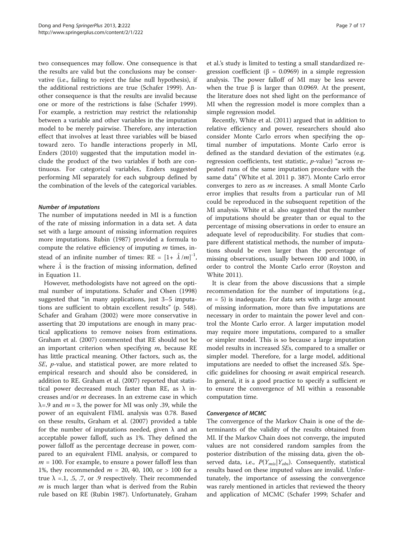two consequences may follow. One consequence is that the results are valid but the conclusions may be conservative (i.e., failing to reject the false null hypothesis), if the additional restrictions are true (Schafer [1999\)](#page-16-0). Another consequence is that the results are invalid because one or more of the restrictions is false (Schafer [1999](#page-16-0)). For example, a restriction may restrict the relationship between a variable and other variables in the imputation model to be merely pairwise. Therefore, any interaction effect that involves at least three variables will be biased toward zero. To handle interactions properly in MI, Enders [\(2010\)](#page-15-0) suggested that the imputation model include the product of the two variables if both are continuous. For categorical variables, Enders suggested performing MI separately for each subgroup defined by the combination of the levels of the categorical variables.

#### Number of imputations

The number of imputations needed in MI is a function of the rate of missing information in a data set. A data set with a large amount of missing information requires more imputations. Rubin ([1987](#page-16-0)) provided a formula to compute the relative efficiency of imputing  $m$  times, instead of an infinite number of times: RE =  $[1 + \hat{\lambda}/m]^{-1}$ , where  $\lambda$  is the fraction of missing information, defined in Equation 11.

However, methodologists have not agreed on the optimal number of imputations. Schafer and Olsen ([1998](#page-16-0)) suggested that "in many applications, just 3–5 imputations are sufficient to obtain excellent results" (p. 548). Schafer and Graham [\(2002\)](#page-16-0) were more conservative in asserting that 20 imputations are enough in many practical applications to remove noises from estimations. Graham et al. [\(2007\)](#page-15-0) commented that RE should not be an important criterion when specifying  $m$ , because RE has little practical meaning. Other factors, such as, the SE, p-value, and statistical power, are more related to empirical research and should also be considered, in addition to RE. Graham et al. [\(2007\)](#page-15-0) reported that statistical power decreased much faster than RE, as  $\lambda$  increases and/or m decreases. In an extreme case in which  $\lambda$ =.9 and *m* = 3, the power for MI was only .39, while the power of an equivalent FIML analysis was 0.78. Based on these results, Graham et al. [\(2007](#page-15-0)) provided a table for the number of imputations needed, given  $\lambda$  and an acceptable power falloff, such as 1%. They defined the power falloff as the percentage decrease in power, compared to an equivalent FIML analysis, or compared to  $m = 100$ . For example, to ensure a power falloff less than 1%, they recommended  $m = 20, 40, 100,$  or  $> 100$  for a true  $\lambda = 1, 0.5, 0.7, 0.9$  respectively. Their recommended  $m$  is much larger than what is derived from the Rubin rule based on RE (Rubin [1987\)](#page-16-0). Unfortunately, Graham

et al.'s study is limited to testing a small standardized regression coefficient ( $\beta$  = 0.0969) in a simple regression analysis. The power falloff of MI may be less severe when the true  $β$  is larger than 0.0969. At the present, the literature does not shed light on the performance of MI when the regression model is more complex than a simple regression model.

Recently, White et al. ([2011\)](#page-16-0) argued that in addition to relative efficiency and power, researchers should also consider Monte Carlo errors when specifying the optimal number of imputations. Monte Carlo error is defined as the standard deviation of the estimates (e.g. regression coefficients, test statistic, p-value) "across repeated runs of the same imputation procedure with the same data" (White et al. [2011](#page-16-0) p. 387). Monte Carlo error converges to zero as  $m$  increases. A small Monte Carlo error implies that results from a particular run of MI could be reproduced in the subsequent repetition of the MI analysis. White et al. also suggested that the number of imputations should be greater than or equal to the percentage of missing observations in order to ensure an adequate level of reproducibility. For studies that compare different statistical methods, the number of imputations should be even larger than the percentage of missing observations, usually between 100 and 1000, in order to control the Monte Carlo error (Royston and White [2011\)](#page-16-0).

It is clear from the above discussions that a simple recommendation for the number of imputations (e.g.,  $m = 5$ ) is inadequate. For data sets with a large amount of missing information, more than five imputations are necessary in order to maintain the power level and control the Monte Carlo error. A larger imputation model may require more imputations, compared to a smaller or simpler model. This is so because a large imputation model results in increased SEs, compared to a smaller or simpler model. Therefore, for a large model, additional imputations are needed to offset the increased SEs. Specific guidelines for choosing  $m$  await empirical research. In general, it is a good practice to specify a sufficient  $m$ to ensure the convergence of MI within a reasonable computation time.

#### Convergence of MCMC

The convergence of the Markov Chain is one of the determinants of the validity of the results obtained from MI. If the Markov Chain does not converge, the imputed values are not considered random samples from the posterior distribution of the missing data, given the observed data, i.e.,  $P(Y_{mis}|Y_{obs})$ . Consequently, statistical results based on these imputed values are invalid. Unfortunately, the importance of assessing the convergence was rarely mentioned in articles that reviewed the theory and application of MCMC (Schafer [1999](#page-16-0); Schafer and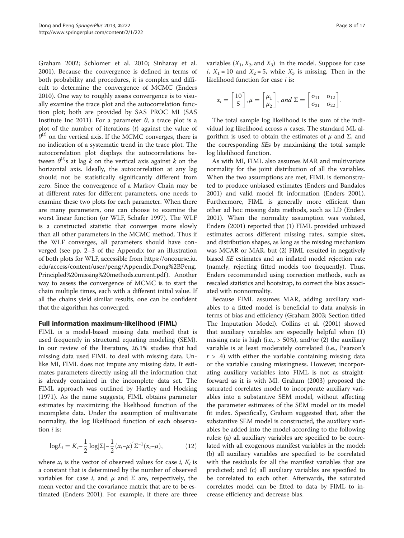Graham [2002;](#page-16-0) Schlomer et al. [2010;](#page-16-0) Sinharay et al. [2001](#page-16-0)). Because the convergence is defined in terms of both probability and procedures, it is complex and difficult to determine the convergence of MCMC (Enders [2010](#page-15-0)). One way to roughly assess convergence is to visually examine the trace plot and the autocorrelation function plot; both are provided by SAS PROC MI (SAS Institute Inc [2011\)](#page-16-0). For a parameter  $\theta$ , a trace plot is a plot of the number of iterations  $(t)$  against the value of  $\theta^{(t)}$  on the vertical axis. If the MCMC converges, there is no indication of a systematic trend in the trace plot. The autocorrelation plot displays the autocorrelations between  $\theta^{(t)}$ s at lag  $k$  on the vertical axis against  $k$  on the horizontal axis. Ideally, the autocorrelation at any lag should not be statistically significantly different from zero. Since the convergence of a Markov Chain may be at different rates for different parameters, one needs to examine these two plots for each parameter. When there are many parameters, one can choose to examine the worst linear function (or WLF, Schafer [1997](#page-16-0)). The WLF is a constructed statistic that converges more slowly than all other parameters in the MCMC method. Thus if the WLF converges, all parameters should have converged (see pp. 2–3 of the Appendix for an illustration of both plots for WLF, accessible from [https://oncourse.iu.](https://oncourse.iu.edu/access/content/user/peng/Appendix.Dong%2BPeng.Principled%20missing%20methods.current.pdf) [edu/access/content/user/peng/Appendix.Dong%2BPeng.](https://oncourse.iu.edu/access/content/user/peng/Appendix.Dong%2BPeng.Principled%20missing%20methods.current.pdf) [Principled%20missing%20methods.current.pdf](https://oncourse.iu.edu/access/content/user/peng/Appendix.Dong%2BPeng.Principled%20missing%20methods.current.pdf) ). Another way to assess the convergence of MCMC is to start the chain multiple times, each with a different initial value. If all the chains yield similar results, one can be confident that the algorithm has converged.

## Full information maximum-likelihood (FIML)

FIML is a model-based missing data method that is used frequently in structural equating modeling (SEM). In our review of the literature, 26.1% studies that had missing data used FIML to deal with missing data. Unlike MI, FIML does not impute any missing data. It estimates parameters directly using all the information that is already contained in the incomplete data set. The FIML approach was outlined by Hartley and Hocking ([1971](#page-15-0)). As the name suggests, FIML obtains parameter estimates by maximizing the likelihood function of the incomplete data. Under the assumption of multivariate normality, the log likelihood function of each observation  $i$  is:

$$
\log L_i = K_i - \frac{1}{2} \log |\Sigma| - \frac{1}{2} (x_i - \mu)' \Sigma^{-1} (x_i - \mu), \tag{12}
$$

where  $x_i$  is the vector of observed values for case *i*,  $K_i$  is a constant that is determined by the number of observed variables for case *i*, and  $\mu$  and  $\Sigma$  are, respectively, the mean vector and the covariance matrix that are to be estimated (Enders [2001\)](#page-15-0). For example, if there are three variables  $(X_1, X_2, X_3)$  in the model. Suppose for case i,  $X_1 = 10$  and  $X_2 = 5$ , while  $X_3$  is missing. Then in the likelihood function for case  $i$  is:

$$
x_i = \begin{bmatrix} 10 \\ 5 \end{bmatrix}, \mu = \begin{bmatrix} \mu_1 \\ \mu_2 \end{bmatrix}, \text{ and } \Sigma = \begin{bmatrix} \sigma_{11} & \sigma_{12} \\ \sigma_{21} & \sigma_{22} \end{bmatrix}.
$$

The total sample log likelihood is the sum of the individual log likelihood across  $n$  cases. The standard ML algorithm is used to obtain the estimates of  $\mu$  and  $\Sigma$ , and the corresponding SEs by maximizing the total sample log likelihood function.

As with MI, FIML also assumes MAR and multivariate normality for the joint distribution of all the variables. When the two assumptions are met, FIML is demonstrated to produce unbiased estimates (Enders and Bandalos [2001](#page-15-0)) and valid model fit information (Enders [2001](#page-15-0)). Furthermore, FIML is generally more efficient than other ad hoc missing data methods, such as LD (Enders [2001](#page-15-0)). When the normality assumption was violated, Enders [\(2001\)](#page-15-0) reported that (1) FIML provided unbiased estimates across different missing rates, sample sizes, and distribution shapes, as long as the missing mechanism was MCAR or MAR, but (2) FIML resulted in negatively biased SE estimates and an inflated model rejection rate (namely, rejecting fitted models too frequently). Thus, Enders recommended using correction methods, such as rescaled statistics and bootstrap, to correct the bias associated with nonnormality.

Because FIML assumes MAR, adding auxiliary variables to a fitted model is beneficial to data analysis in terms of bias and efficiency (Graham [2003](#page-15-0); Section titled The Imputation Model). Collins et al. ([2001](#page-15-0)) showed that auxiliary variables are especially helpful when (1) missing rate is high (i.e.,  $>$  50%), and/or (2) the auxiliary variable is at least moderately correlated (i.e., Pearson's  $r > .4$ ) with either the variable containing missing data or the variable causing missingness. However, incorporating auxiliary variables into FIML is not as straightforward as it is with MI. Graham [\(2003\)](#page-15-0) proposed the saturated correlates model to incorporate auxiliary variables into a substantive SEM model, without affecting the parameter estimates of the SEM model or its model fit index. Specifically, Graham suggested that, after the substantive SEM model is constructed, the auxiliary variables be added into the model according to the following rules: (a) all auxiliary variables are specified to be correlated with all exogenous manifest variables in the model; (b) all auxiliary variables are specified to be correlated with the residuals for all the manifest variables that are predicted; and (c) all auxiliary variables are specified to be correlated to each other. Afterwards, the saturated correlates model can be fitted to data by FIML to increase efficiency and decrease bias.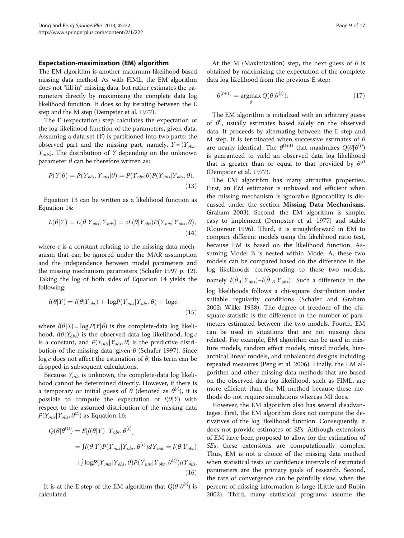#### Expectation-maximization (EM) algorithm

The EM algorithm is another maximum-likelihood based missing data method. As with FIML, the EM algorithm does not "fill in" missing data, but rather estimates the parameters directly by maximizing the complete data log likelihood function. It does so by iterating between the E step and the M step (Dempster et al. [1977\)](#page-15-0).

The E (expectation) step calculates the expectation of the log-likelihood function of the parameters, given data. Assuming a data set  $(Y)$  is partitioned into two parts: the observed part and the missing part, namely,  $Y = (Y_{obs},$  $Y_{mis}$ ). The distribution of Y depending on the unknown parameter  $\theta$  can be therefore written as:

$$
P(Y|\theta) = P(Y_{obs}, Y_{mis}|\theta) = P(Y_{obs}|\theta)P(Y_{mis}|Y_{obs}, \theta).
$$
\n(13)

Equation 13 can be written as a likelihood function as Equation 14:

$$
L(\theta|Y) = L(\theta|Y_{obs}, Y_{mis}) = cL(\theta|Y_{obs})P(Y_{mis}|Y_{obs}, \theta),
$$
\n(14)

where  $c$  is a constant relating to the missing data mechanism that can be ignored under the MAR assumption and the independence between model parameters and the missing mechanism parameters (Schafer [1997](#page-16-0) p. 12). Taking the log of both sides of Equation 14 yields the following:

$$
l(\theta|Y) = l(\theta|Y_{obs}) + \log P(Y_{mis}|Y_{obs}, \theta) + \log c,
$$
\n(15)

where  $l(\theta|Y) = \log P(Y|\theta)$  is the complete-data log likelihood,  $l(\theta|Y_{obs})$  is the observed-data log likelihood, log c is a constant, and  $P(Y_{mis}|Y_{obs}, \theta)$  is the predictive distribution of the missing data, given  $\theta$  (Schafer [1997](#page-16-0)). Since  $\log c$  does not affect the estimation of  $\theta$ , this term can be dropped in subsequent calculations.

Because  $Y_{mis}$  is unknown, the complete-data log likelihood cannot be determined directly. However, if there is a temporary or initial guess of  $\theta$  (denoted as  $\theta^{(t)}$ ), it is possible to compute the expectation of  $l(\theta|Y)$  with respect to the assumed distribution of the missing data  $P(\overline{Y}_{mis}|Y_{obs},\theta^{(t)})$  as Equation 16:

$$
Q(\theta|\theta^{(t)}) = E[l(\theta|Y)| Y_{obs}, \theta^{(t)}]
$$
  
=  $\int l(\theta|Y)P(Y_{mis}|Y_{obs}, \theta^{(t)})dY_{mis} = l(\theta|Y_{obs})$   
+ $\int \log P(Y_{mis}|Y_{obs}, \theta)P(Y_{mis}|Y_{obs}, \theta^{(t)})dY_{mis}$ . (16)

It is at the E step of the EM algorithm that  $Q(\theta|\theta^{(t)})$  is calculated.

At the M (Maximization) step, the next guess of  $\theta$  is obtained by maximizing the expectation of the complete data log likelihood from the previous E step:

$$
\theta^{(t+1)} = \underset{\theta}{\operatorname{argmax}} \, Q(\theta | \theta^{(t)}). \tag{17}
$$

The EM algorithm is initialized with an arbitrary guess of  $\theta^0$ , usually estimates based solely on the observed data. It proceeds by alternating between the E step and M step. It is terminated when successive estimates of  $\theta$ are nearly identical. The  $\theta^{(t+1)}$  that maximizes  $Q(\theta | \theta^{(t)})$ is guaranteed to yield an observed data log likelihood that is greater than or equal to that provided by  $\theta^{(t)}$ (Dempster et al. [1977\)](#page-15-0).

The EM algorithm has many attractive properties. First, an EM estimator is unbiased and efficient when the missing mechanism is ignorable (ignorability is discussed under the section Missing Data Mechanisms, Graham [2003\)](#page-15-0). Second, the EM algorithm is simple, easy to implement (Dempster et al. [1977](#page-15-0)) and stable (Couvreur [1996\)](#page-15-0). Third, it is straightforward in EM to compare different models using the likelihood ratio test, because EM is based on the likelihood function. Assuming Model B is nested within Model A, these two models can be compared based on the difference in the log likelihoods corresponding to these two models, namely  $l(\hat{\theta}_A | Y_{obs}) - l(\hat{\theta}_B | Y_{obs})$ . Such a difference in the  $\frac{1}{2}$ log likelihoods follows a chi-square distribution under suitable regularity conditions (Schafer and Graham [2002](#page-16-0); Wilks [1938](#page-16-0)). The degree of freedom of the chisquare statistic is the difference in the number of parameters estimated between the two models. Fourth, EM can be used in situations that are not missing data related. For example, EM algorithm can be used in mixture models, random effect models, mixed models, hierarchical linear models, and unbalanced designs including repeated measures (Peng et al. [2006](#page-15-0)). Finally, the EM algorithm and other missing data methods that are based on the observed data log likelihood, such as FIML, are more efficient than the MI method because these methods do not require simulations whereas MI does.

However, the EM algorithm also has several disadvantages. First, the EM algorithm does not compute the derivatives of the log likelihood function. Consequently, it does not provide estimates of SEs. Although extensions of EM have been proposed to allow for the estimation of SEs, these extensions are computationally complex. Thus, EM is not a choice of the missing data method when statistical tests or confidence intervals of estimated parameters are the primary goals of research. Second, the rate of convergence can be painfully slow, when the percent of missing information is large (Little and Rubin [2002](#page-15-0)). Third, many statistical programs assume the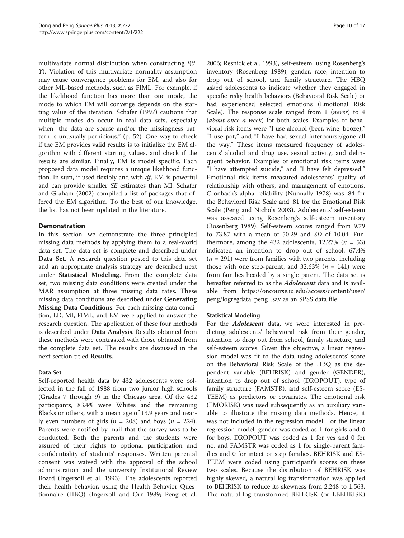multivariate normal distribution when constructing  $l(\theta)$ Y). Violation of this multivariate normality assumption may cause convergence problems for EM, and also for other ML-based methods, such as FIML. For example, if the likelihood function has more than one mode, the mode to which EM will converge depends on the starting value of the iteration. Schafer [\(1997\)](#page-16-0) cautions that multiple modes do occur in real data sets, especially when "the data are sparse and/or the missingness pattern is unusually pernicious." (p. 52). One way to check if the EM provides valid results is to initialize the EM algorithm with different starting values, and check if the results are similar. Finally, EM is model specific. Each proposed data model requires a unique likelihood function. In sum, if used flexibly and with df, EM is powerful and can provide smaller SE estimates than MI. Schafer and Graham ([2002](#page-16-0)) compiled a list of packages that offered the EM algorithm. To the best of our knowledge, the list has not been updated in the literature.

## Demonstration

In this section, we demonstrate the three principled missing data methods by applying them to a real-world data set. The data set is complete and described under Data Set. A research question posted to this data set and an appropriate analysis strategy are described next under Statistical Modeling. From the complete data set, two missing data conditions were created under the MAR assumption at three missing data rates. These missing data conditions are described under [Generating](#page-10-0) [Missing Data Conditions](#page-10-0). For each missing data condition, LD, MI, FIML, and EM were applied to answer the research question. The application of these four methods is described under [Data Analysis](#page-10-0). Results obtained from these methods were contrasted with those obtained from the complete data set. The results are discussed in the next section titled [Results](#page-12-0).

## Data Set

Self-reported health data by 432 adolescents were collected in the fall of 1988 from two junior high schools (Grades 7 through 9) in the Chicago area. Of the 432 participants, 83.4% were Whites and the remaining Blacks or others, with a mean age of 13.9 years and nearly even numbers of girls ( $n = 208$ ) and boys ( $n = 224$ ). Parents were notified by mail that the survey was to be conducted. Both the parents and the students were assured of their rights to optional participation and confidentiality of students' responses. Written parental consent was waived with the approval of the school administration and the university Institutional Review Board (Ingersoll et al. [1993\)](#page-15-0). The adolescents reported their health behavior, using the Health Behavior Questionnaire (HBQ) (Ingersoll and Orr [1989;](#page-15-0) Peng et al. [2006](#page-15-0); Resnick et al. [1993\)](#page-16-0), self-esteem, using Rosenberg's inventory (Rosenberg [1989](#page-16-0)), gender, race, intention to drop out of school, and family structure. The HBQ asked adolescents to indicate whether they engaged in specific risky health behaviors (Behavioral Risk Scale) or had experienced selected emotions (Emotional Risk Scale). The response scale ranged from 1 *(never)* to 4 (about once a week) for both scales. Examples of behavioral risk items were "I use alcohol (beer, wine, booze)," "I use pot," and "I have had sexual intercourse/gone all the way." These items measured frequency of adolescents' alcohol and drug use, sexual activity, and delinquent behavior. Examples of emotional risk items were "I have attempted suicide," and "I have felt depressed." Emotional risk items measured adolescents' quality of relationship with others, and management of emotions. Cronbach's alpha reliability (Nunnally [1978](#page-15-0)) was .84 for the Behavioral Risk Scale and .81 for the Emotional Risk Scale (Peng and Nichols [2003\)](#page-15-0). Adolescents' self-esteem was assessed using Rosenberg's self-esteem inventory (Rosenberg [1989\)](#page-16-0). Self-esteem scores ranged from 9.79 to 73.87 with a mean of 50.29 and SD of 10.04. Furthermore, among the 432 adolescents, 12.27% ( $n = 53$ ) indicated an intention to drop out of school; 67.4%  $(n = 291)$  were from families with two parents, including those with one step-parent, and 32.63% ( $n = 141$ ) were from families headed by a single parent. The data set is hereafter referred to as the *Adolescent* data and is available from [https://oncourse.iu.edu/access/content/user/](https://oncourse.iu.edu/access/content/user/peng/logregdata_peng_.sav) [peng/logregdata\\_peng\\_.sav](https://oncourse.iu.edu/access/content/user/peng/logregdata_peng_.sav) as an SPSS data file.

## Statistical Modeling

For the *Adolescent* data, we were interested in predicting adolescents' behavioral risk from their gender, intention to drop out from school, family structure, and self-esteem scores. Given this objective, a linear regression model was fit to the data using adolescents' score on the Behavioral Risk Scale of the HBQ as the dependent variable (BEHRISK) and gender (GENDER), intention to drop out of school (DROPOUT), type of family structure (FAMSTR), and self-esteem score (ES-TEEM) as predictors or covariates. The emotional risk (EMORISK) was used subsequently as an auxiliary variable to illustrate the missing data methods. Hence, it was not included in the regression model. For the linear regression model, gender was coded as 1 for girls and 0 for boys, DROPOUT was coded as 1 for yes and 0 for no, and FAMSTR was coded as 1 for single-parent families and 0 for intact or step families. BEHRISK and ES-TEEM were coded using participant's scores on these two scales. Because the distribution of BEHRISK was highly skewed, a natural log transformation was applied to BEHRISK to reduce its skewness from 2.248 to 1.563. The natural-log transformed BEHRISK (or LBEHRISK)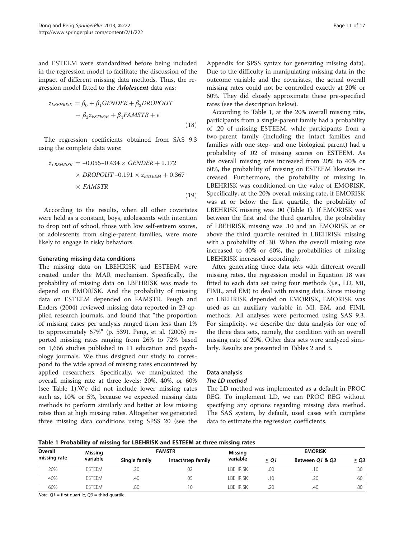<span id="page-10-0"></span>and ESTEEM were standardized before being included in the regression model to facilitate the discussion of the impact of different missing data methods. Thus, the regression model fitted to the *Adolescent* data was:

$$
z_{LBEHRISK} = \beta_0 + \beta_1 GENDER + \beta_2 DROPOUT
$$
  
+  $\beta_3 z_{ESTEEM} + \beta_4 FAMSTR + \epsilon$  (18)

The regression coefficients obtained from SAS 9.3 using the complete data were:

$$
\hat{z}_{LBEHRISK} = -0.055 - 0.434 \times GENDER + 1.172
$$

$$
\times \text{ DROPOUT} - 0.191 \times z_{ESTEEM} + 0.367
$$

$$
\times \text{ FAMSTR}
$$
(19)

According to the results, when all other covariates were held as a constant, boys, adolescents with intention to drop out of school, those with low self-esteem scores, or adolescents from single-parent families, were more likely to engage in risky behaviors.

#### Generating missing data conditions

The missing data on LBEHRISK and ESTEEM were created under the MAR mechanism. Specifically, the probability of missing data on LBEHRISK was made to depend on EMORISK. And the probability of missing data on ESTEEM depended on FAMSTR. Peugh and Enders ([2004](#page-16-0)) reviewed missing data reported in 23 applied research journals, and found that "the proportion of missing cases per analysis ranged from less than 1% to approximately 67%" (p. 539). Peng, et al. ([2006](#page-15-0)) reported missing rates ranging from 26% to 72% based on 1,666 studies published in 11 education and psychology journals. We thus designed our study to correspond to the wide spread of missing rates encountered by applied researchers. Specifically, we manipulated the overall missing rate at three levels: 20%, 40%, or 60% (see Table 1).We did not include lower missing rates such as, 10% or 5%, because we expected missing data methods to perform similarly and better at low missing rates than at high missing rates. Altogether we generated three missing data conditions using SPSS 20 (see the

Appendix for SPSS syntax for generating missing data). Due to the difficulty in manipulating missing data in the outcome variable and the covariates, the actual overall missing rates could not be controlled exactly at 20% or 60%. They did closely approximate these pre-specified rates (see the description below).

According to Table 1, at the 20% overall missing rate, participants from a single-parent family had a probability of .20 of missing ESTEEM, while participants from a two-parent family (including the intact families and families with one step- and one biological parent) had a probability of .02 of missing scores on ESTEEM. As the overall missing rate increased from 20% to 40% or 60%, the probability of missing on ESTEEM likewise increased. Furthermore, the probability of missing in LBEHRISK was conditioned on the value of EMORISK. Specifically, at the 20% overall missing rate, if EMORISK was at or below the first quartile, the probability of LBEHRISK missing was .00 (Table 1). If EMORISK was between the first and the third quartiles, the probability of LBEHRISK missing was .10 and an EMORISK at or above the third quartile resulted in LBEHRISK missing with a probability of .30. When the overall missing rate increased to 40% or 60%, the probabilities of missing LBEHRISK increased accordingly.

After generating three data sets with different overall missing rates, the regression model in Equation 18 was fitted to each data set using four methods (i.e., LD, MI, FIML, and EM) to deal with missing data. Since missing on LBEHRISK depended on EMORISK, EMORISK was used as an auxiliary variable in MI, EM, and FIML methods. All analyses were performed using SAS 9.3. For simplicity, we describe the data analysis for one of the three data sets, namely, the condition with an overall missing rate of 20%. Other data sets were analyzed similarly. Results are presented in Tables [2](#page-11-0) and [3.](#page-11-0)

## Data analysis

#### The LD method

The LD method was implemented as a default in PROC REG. To implement LD, we ran PROC REG without specifying any options regarding missing data method. The SAS system, by default, used cases with complete data to estimate the regression coefficients.

Table 1 Probability of missing for LBEHRISK and ESTEEM at three missing rates

| Overall<br>missing rate | Missing<br>variable | <b>FAMSTR</b> |                    | Missing          | <b>EMORISK</b> |                 |           |
|-------------------------|---------------------|---------------|--------------------|------------------|----------------|-----------------|-----------|
|                         |                     | Single family | Intact/step family | variable         | $\leq$ Q1      | Between O1 & O3 | $\geq$ Q3 |
| 20%                     | <b>FSTFFM</b>       | .20           | .02                | <b>BEHRISK</b>   | .00            | .10             | .30       |
| 40%                     | <b>FSTFFM</b>       | .40           | .U5                | <b>I BEHRISK</b> |                | .20             | .60       |
| 60%                     | <b>FSTFFM</b>       | .80           | .10                | I BEHRISK        | .20            | .40             | .80       |

Note.  $Q1$  = first quartile,  $Q3$  = third quartile.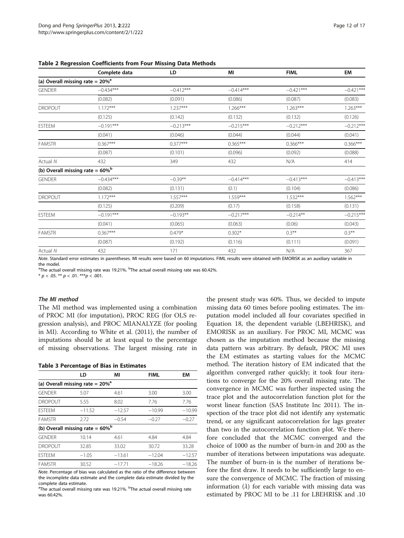|                                                | Complete data | LD.         | MI          | <b>FIML</b> | EM          |
|------------------------------------------------|---------------|-------------|-------------|-------------|-------------|
| (a) Overall missing rate = $20\%$ <sup>a</sup> |               |             |             |             |             |
| <b>GENDER</b>                                  | $-0.434***$   | $-0.412***$ | $-0.414***$ | $-0.421***$ | $-0.421***$ |
|                                                | (0.082)       | (0.091)     | (0.086)     | (0.087)     | (0.083)     |
| <b>DROPOUT</b>                                 | $1.172***$    | $1.237***$  | $1.266***$  | $1.263***$  | $1.263***$  |
|                                                | (0.125)       | (0.142)     | (0.132)     | (0.132)     | (0.126)     |
| <b>ESTEEM</b>                                  | $-0.191***$   | $-0.213***$ | $-0.215***$ | $-0.212***$ | $-0.212***$ |
|                                                | (0.041)       | (0.046)     | (0.044)     | (0.044)     | (0.041)     |
| <b>FAMSTR</b>                                  | $0.367***$    | $0.377***$  | $0.365***$  | $0.366***$  | $0.366***$  |
|                                                | (0.087)       | (0.101)     | (0.096)     | (0.092)     | (0.088)     |
| Actual N                                       | 432           | 349         | 432         | N/A         | 414         |
| (b) Overall missing rate = $60\%$ <sup>b</sup> |               |             |             |             |             |
| <b>GENDER</b>                                  | $-0.434***$   | $-0.39**$   | $-0.414***$ | $-0.413***$ | $-0.413***$ |
|                                                | (0.082)       | (0.131)     | (0.1)       | (0.104)     | (0.086)     |
| <b>DROPOUT</b>                                 | $1.172***$    | $1.557***$  | $1.559***$  | $1.532***$  | $1.562***$  |
|                                                | (0.125)       | (0.209)     | (0.17)      | (0.158)     | (0.131)     |
| <b>ESTEEM</b>                                  | $-0.191***$   | $-0.193**$  | $-0.217***$ | $-0.214**$  | $-0.215***$ |
|                                                | (0.041)       | (0.065)     | (0.063)     | (0.06)      | (0.043)     |
| <b>FAMSTR</b>                                  | $0.367***$    | $0.479*$    | $0.302*$    | $0.3***$    | $0.3***$    |
|                                                | (0.087)       | (0.192)     | (0.116)     | (0.111)     | (0.091)     |
| Actual N                                       | 432           | 171         | 432         | N/A         | 367         |

<span id="page-11-0"></span>Table 2 Regression Coefficients from Four Missing Data Methods

Note. Standard error estimates in parentheses. MI results were based on 60 imputations. FIML results were obtained with EMORISK as an auxiliary variable in<br>the model the model.

 $^{\rm a}$ The actual overall missing rate was 19.21%.  $^{\rm b}$ The actual overall missing rate was 60.42%.

 $* p < .05. ** p < .01.*** p < .001.$ 

#### The MI method

The MI method was implemented using a combination of PROC MI (for imputation), PROC REG (for OLS regression analysis), and PROC MIANALYZE (for pooling in MI). According to White et al. [\(2011\)](#page-16-0), the number of imputations should be at least equal to the percentage of missing observations. The largest missing rate in

|                                                | LD       | MI       | <b>FIML</b> | EM       |
|------------------------------------------------|----------|----------|-------------|----------|
| (a) Overall missing rate = $20\%$ <sup>a</sup> |          |          |             |          |
| <b>GENDER</b>                                  | 5.07     | 4.61     | 3.00        | 3.00     |
| <b>DROPOUT</b>                                 | 5.55     | 8.02     | 7.76        | 7.76     |
| <b>FSTEEM</b>                                  | $-11.52$ | $-12.57$ | $-10.99$    | $-10.99$ |
| <b>FAMSTR</b>                                  | 2.72     | $-0.54$  | $-0.27$     | $-0.27$  |
| (b) Overall missing rate = $60\%$ <sup>b</sup> |          |          |             |          |
| <b>GENDER</b>                                  | 10.14    | 4.61     | 4.84        | 4.84     |
| <b>DROPOUT</b>                                 | 32.85    | 33.02    | 30.72       | 33.28    |
| <b>FSTFFM</b>                                  | $-1.05$  | $-13.61$ | $-12.04$    | $-12.57$ |
| <b>FAMSTR</b>                                  | 30.52    | $-17.71$ | $-18.26$    | $-18.26$ |

Note. Percentage of bias was calculated as the ratio of the difference between the incomplete data estimate and the complete data estimate divided by the complete data estimate.

<sup>a</sup>The actual overall missing rate was 19.21%. <sup>b</sup>The actual overall missing rate was 60.42%.

the present study was 60%. Thus, we decided to impute missing data 60 times before pooling estimates. The imputation model included all four covariates specified in Equation 18, the dependent variable (LBEHRISK), and EMORISK as an auxiliary. For PROC MI, MCMC was chosen as the imputation method because the missing data pattern was arbitrary. By default, PROC MI uses the EM estimates as starting values for the MCMC method. The iteration history of EM indicated that the algorithm converged rather quickly; it took four iterations to converge for the 20% overall missing rate. The convergence in MCMC was further inspected using the trace plot and the autocorrelation function plot for the worst linear function (SAS Institute Inc [2011](#page-16-0)). The inspection of the trace plot did not identify any systematic trend, or any significant autocorrelation for lags greater than two in the autocorrelation function plot. We therefore concluded that the MCMC converged and the choice of 1000 as the number of burn-in and 200 as the number of iterations between imputations was adequate. The number of burn-in is the number of iterations before the first draw. It needs to be sufficiently large to ensure the convergence of MCMC. The fraction of missing information  $(\lambda)$  for each variable with missing data was estimated by PROC MI to be .11 for LBEHRISK and .10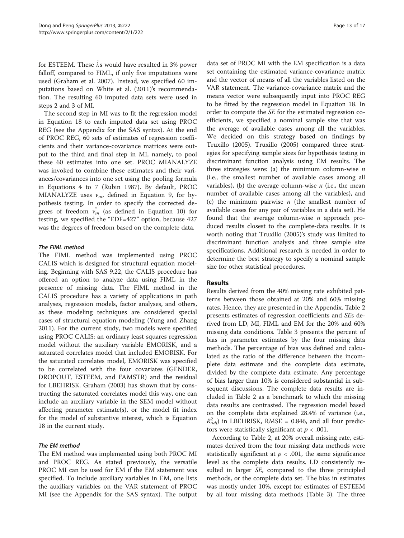<span id="page-12-0"></span>for ESTEEM. These  $\hat{\lambda}$ s would have resulted in 3% power falloff, compared to FIML, if only five imputations were used (Graham et al. [2007](#page-15-0)). Instead, we specified 60 imputations based on White et al. ([2011\)](#page-16-0)'s recommendation. The resulting 60 imputed data sets were used in steps 2 and 3 of MI.

The second step in MI was to fit the regression model in Equation 18 to each imputed data set using PROC REG (see the Appendix for the SAS syntax). At the end of PROC REG, 60 sets of estimates of regression coefficients and their variance-covariance matrices were output to the third and final step in MI, namely, to pool these 60 estimates into one set. PROC MIANALYZE was invoked to combine these estimates and their variances/covariances into one set using the pooling formula in Equations 4 to 7 (Rubin [1987\)](#page-16-0). By default, PROC MIANALYZE uses  $v_m$ , defined in Equation 9, for hypothesis testing. In order to specify the corrected degrees of freedom  $v_m^*$  (as defined in Equation 10) for testing, we specified the "EDF=427" option, because 427 was the degrees of freedom based on the complete data.

#### The FIML method

The FIML method was implemented using PROC CALIS which is designed for structural equation modeling. Beginning with SAS 9.22, the CALIS procedure has offered an option to analyze data using FIML in the presence of missing data. The FIML method in the CALIS procedure has a variety of applications in path analyses, regression models, factor analyses, and others, as these modeling techniques are considered special cases of structural equation modeling (Yung and Zhang [2011](#page-16-0)). For the current study, two models were specified using PROC CALIS: an ordinary least squares regression model without the auxiliary variable EMORISK, and a saturated correlates model that included EMORISK. For the saturated correlates model, EMORISK was specified to be correlated with the four covariates (GENDER, DROPOUT, ESTEEM, and FAMSTR) and the residual for LBEHRISK. Graham ([2003](#page-15-0)) has shown that by constructing the saturated correlates model this way, one can include an auxiliary variable in the SEM model without affecting parameter estimate(s), or the model fit index for the model of substantive interest, which is Equation 18 in the current study.

#### The EM method

The EM method was implemented using both PROC MI and PROC REG. As stated previously, the versatile PROC MI can be used for EM if the EM statement was specified. To include auxiliary variables in EM, one lists the auxiliary variables on the VAR statement of PROC MI (see the Appendix for the SAS syntax). The output

data set of PROC MI with the EM specification is a data set containing the estimated variance-covariance matrix and the vector of means of all the variables listed on the VAR statement. The variance-covariance matrix and the means vector were subsequently input into PROC REG to be fitted by the regression model in Equation 18. In order to compute the SE for the estimated regression coefficients, we specified a nominal sample size that was the average of available cases among all the variables. We decided on this strategy based on findings by Truxillo [\(2005\)](#page-16-0). Truxillo [\(2005](#page-16-0)) compared three strategies for specifying sample sizes for hypothesis testing in discriminant function analysis using EM results. The three strategies were: (a) the minimum column-wise  $n$ (i.e., the smallest number of available cases among all variables), (b) the average column-wise  $n$  (i.e., the mean number of available cases among all the variables), and (c) the minimum pairwise  $n$  (the smallest number of available cases for any pair of variables in a data set). He found that the average column-wise  $n$  approach produced results closest to the complete-data results. It is worth noting that Truxillo [\(2005\)](#page-16-0)'s study was limited to discriminant function analysis and three sample size specifications. Additional research is needed in order to determine the best strategy to specify a nominal sample size for other statistical procedures.

## Results

Results derived from the 40% missing rate exhibited patterns between those obtained at 20% and 60% missing rates. Hence, they are presented in the Appendix. Table [2](#page-11-0) presents estimates of regression coefficients and SEs derived from LD, MI, FIML and EM for the 20% and 60% missing data conditions. Table [3](#page-11-0) presents the percent of bias in parameter estimates by the four missing data methods. The percentage of bias was defined and calculated as the ratio of the difference between the incomplete data estimate and the complete data estimate, divided by the complete data estimate. Any percentage of bias larger than 10% is considered substantial in subsequent discussions. The complete data results are included in Table [2](#page-11-0) as a benchmark to which the missing data results are contrasted. The regression model based on the complete data explained 28.4% of variance (i.e.,  $R_{adj}^2$ ) in LBEHRISK, RMSE = 0.846, and all four predictors were statistically significant at  $p < .001$ .

According to Table [2,](#page-11-0) at 20% overall missing rate, estimates derived from the four missing data methods were statistically significant at  $p < .001$ , the same significance level as the complete data results. LD consistently resulted in larger SE, compared to the three principled methods, or the complete data set. The bias in estimates was mostly under 10%, except for estimates of ESTEEM by all four missing data methods (Table [3\)](#page-11-0). The three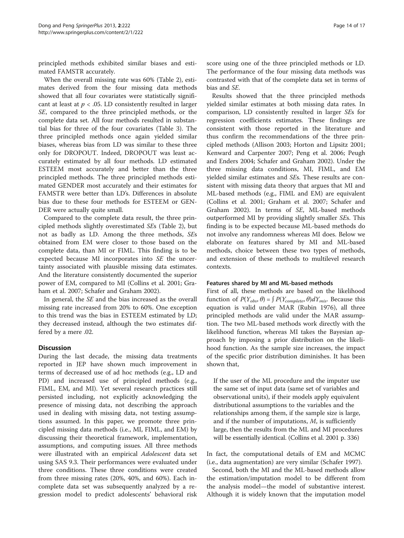principled methods exhibited similar biases and estimated FAMSTR accurately.

When the overall missing rate was 60% (Table [2](#page-11-0)), estimates derived from the four missing data methods showed that all four covariates were statistically significant at least at  $p < .05$ . LD consistently resulted in larger SE, compared to the three principled methods, or the complete data set. All four methods resulted in substantial bias for three of the four covariates (Table [3\)](#page-11-0). The three principled methods once again yielded similar biases, whereas bias from LD was similar to these three only for DROPOUT. Indeed, DROPOUT was least accurately estimated by all four methods. LD estimated ESTEEM most accurately and better than the three principled methods. The three principled methods estimated GENDER most accurately and their estimates for FAMSTR were better than LD's. Differences in absolute bias due to these four methods for ESTEEM or GEN-DER were actually quite small.

Compared to the complete data result, the three principled methods slightly overestimated SEs (Table [2](#page-11-0)), but not as badly as LD. Among the three methods, SEs obtained from EM were closer to those based on the complete data, than MI or FIML. This finding is to be expected because MI incorporates into SE the uncertainty associated with plausible missing data estimates. And the literature consistently documented the superior power of EM, compared to MI (Collins et al. [2001](#page-15-0); Graham et al. [2007;](#page-15-0) Schafer and Graham [2002\)](#page-16-0).

In general, the SE and the bias increased as the overall missing rate increased from 20% to 60%. One exception to this trend was the bias in ESTEEM estimated by LD; they decreased instead, although the two estimates differed by a mere .02.

## **Discussion**

During the last decade, the missing data treatments reported in JEP have shown much improvement in terms of decreased use of ad hoc methods (e.g., LD and PD) and increased use of principled methods (e.g., FIML, EM, and MI). Yet several research practices still persisted including, not explicitly acknowledging the presence of missing data, not describing the approach used in dealing with missing data, not testing assumptions assumed. In this paper, we promote three principled missing data methods (i.e., MI, FIML, and EM) by discussing their theoretical framework, implementation, assumptions, and computing issues. All three methods were illustrated with an empirical Adolescent data set using SAS 9.3. Their performances were evaluated under three conditions. These three conditions were created from three missing rates (20%, 40%, and 60%). Each incomplete data set was subsequently analyzed by a regression model to predict adolescents' behavioral risk score using one of the three principled methods or LD. The performance of the four missing data methods was contrasted with that of the complete data set in terms of bias and SE.

Results showed that the three principled methods yielded similar estimates at both missing data rates. In comparison, LD consistently resulted in larger SEs for regression coefficients estimates. These findings are consistent with those reported in the literature and thus confirm the recommendations of the three principled methods (Allison [2003](#page-15-0); Horton and Lipsitz [2001](#page-15-0); Kenward and Carpenter [2007](#page-15-0); Peng et al. [2006;](#page-15-0) Peugh and Enders [2004](#page-16-0); Schafer and Graham [2002\)](#page-16-0). Under the three missing data conditions, MI, FIML, and EM yielded similar estimates and SEs. These results are consistent with missing data theory that argues that MI and ML-based methods (e.g., FIML and EM) are equivalent (Collins et al. [2001](#page-15-0); Graham et al. [2007;](#page-15-0) Schafer and Graham [2002](#page-16-0)). In terms of SE, ML-based methods outperformed MI by providing slightly smaller SEs. This finding is to be expected because ML-based methods do not involve any randomness whereas MI does. Below we elaborate on features shared by MI and ML-based methods, choice between these two types of methods, and extension of these methods to multilevel research contexts.

#### Features shared by MI and ML-based methods

First of all, these methods are based on the likelihood function of  $P(Y_{obs}, \theta) = \int P(Y_{complete}, \theta) dY_{mis}$ . Because this equation is valid under MAR (Rubin [1976\)](#page-16-0), all three principled methods are valid under the MAR assumption. The two ML-based methods work directly with the likelihood function, whereas MI takes the Bayesian approach by imposing a prior distribution on the likelihood function. As the sample size increases, the impact of the specific prior distribution diminishes. It has been shown that,

If the user of the ML procedure and the imputer use the same set of input data (same set of variables and observational units), if their models apply equivalent distributional assumptions to the variables and the relationships among them, if the sample size is large, and if the number of imputations, M, is sufficiently large, then the results from the ML and MI procedures will be essentially identical. (Collins et al. [2001](#page-15-0) p. 336)

In fact, the computational details of EM and MCMC (i.e., data augmentation) are very similar (Schafer [1997\)](#page-16-0).

Second, both the MI and the ML-based methods allow the estimation/imputation model to be different from the analysis model—the model of substantive interest. Although it is widely known that the imputation model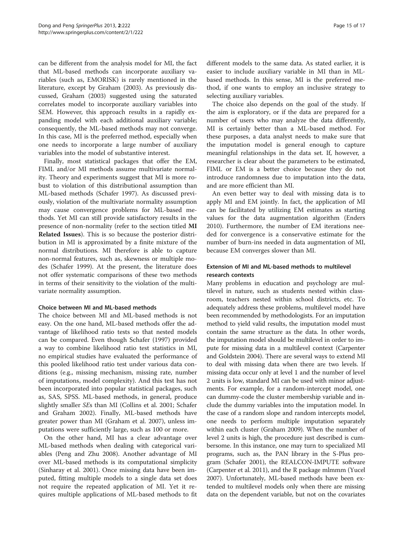can be different from the analysis model for MI, the fact that ML-based methods can incorporate auxiliary variables (such as, EMORISK) is rarely mentioned in the literature, except by Graham [\(2003\)](#page-15-0). As previously discussed, Graham [\(2003](#page-15-0)) suggested using the saturated correlates model to incorporate auxiliary variables into SEM. However, this approach results in a rapidly expanding model with each additional auxiliary variable; consequently, the ML-based methods may not converge. In this case, MI is the preferred method, especially when one needs to incorporate a large number of auxiliary variables into the model of substantive interest.

Finally, most statistical packages that offer the EM, FIML and/or MI methods assume multivariate normality. Theory and experiments suggest that MI is more robust to violation of this distributional assumption than ML-based methods (Schafer [1997\)](#page-16-0). As discussed previously, violation of the multivariate normality assumption may cause convergence problems for ML-based methods. Yet MI can still provide satisfactory results in the presence of non-normality (refer to the section titled MI Related Issues). This is so because the posterior distribution in MI is approximated by a finite mixture of the normal distributions. MI therefore is able to capture non-normal features, such as, skewness or multiple modes (Schafer [1999\)](#page-16-0). At the present, the literature does not offer systematic comparisons of these two methods in terms of their sensitivity to the violation of the multivariate normality assumption.

#### Choice between MI and ML-based methods

The choice between MI and ML-based methods is not easy. On the one hand, ML-based methods offer the advantage of likelihood ratio tests so that nested models can be compared. Even though Schafer [\(1997\)](#page-16-0) provided a way to combine likelihood ratio test statistics in MI, no empirical studies have evaluated the performance of this pooled likelihood ratio test under various data conditions (e.g., missing mechanism, missing rate, number of imputations, model complexity). And this test has not been incorporated into popular statistical packages, such as, SAS, SPSS. ML-based methods, in general, produce slightly smaller SEs than MI (Collins et al. [2001;](#page-15-0) Schafer and Graham [2002\)](#page-16-0). Finally, ML-based methods have greater power than MI (Graham et al. [2007\)](#page-15-0), unless imputations were sufficiently large, such as 100 or more.

On the other hand, MI has a clear advantage over ML-based methods when dealing with categorical variables (Peng and Zhu [2008\)](#page-15-0). Another advantage of MI over ML-based methods is its computational simplicity (Sinharay et al. [2001\)](#page-16-0). Once missing data have been imputed, fitting multiple models to a single data set does not require the repeated application of MI. Yet it requires multiple applications of ML-based methods to fit

different models to the same data. As stated earlier, it is easier to include auxiliary variable in MI than in MLbased methods. In this sense, MI is the preferred method, if one wants to employ an inclusive strategy to selecting auxiliary variables.

The choice also depends on the goal of the study. If the aim is exploratory, or if the data are prepared for a number of users who may analyze the data differently, MI is certainly better than a ML-based method. For these purposes, a data analyst needs to make sure that the imputation model is general enough to capture meaningful relationships in the data set. If, however, a researcher is clear about the parameters to be estimated, FIML or EM is a better choice because they do not introduce randomness due to imputation into the data, and are more efficient than MI.

An even better way to deal with missing data is to apply MI and EM jointly. In fact, the application of MI can be facilitated by utilizing EM estimates as starting values for the data augmentation algorithm (Enders [2010](#page-15-0)). Furthermore, the number of EM iterations needed for convergence is a conservative estimate for the number of burn-ins needed in data augmentation of MI, because EM converges slower than MI.

## Extension of MI and ML-based methods to multilevel research contexts

Many problems in education and psychology are multilevel in nature, such as students nested within classroom, teachers nested within school districts, etc. To adequately address these problems, multilevel model have been recommended by methodologists. For an imputation method to yield valid results, the imputation model must contain the same structure as the data. In other words, the imputation model should be multilevel in order to impute for missing data in a multilevel context (Carpenter and Goldstein [2004](#page-15-0)). There are several ways to extend MI to deal with missing data when there are two levels. If missing data occur only at level 1 and the number of level 2 units is low, standard MI can be used with minor adjustments. For example, for a random-intercept model, one can dummy-code the cluster membership variable and include the dummy variables into the imputation model. In the case of a random slope and random intercepts model, one needs to perform multiple imputation separately within each cluster (Graham [2009](#page-15-0)). When the number of level 2 units is high, the procedure just described is cumbersome. In this instance, one may turn to specialized MI programs, such as, the PAN library in the S-Plus program (Schafer [2001\)](#page-16-0), the REALCON-IMPUTE software (Carpenter et al. [2011\)](#page-15-0), and the R package mlmmm (Yucel [2007](#page-16-0)). Unfortunately, ML-based methods have been extended to multilevel models only when there are missing data on the dependent variable, but not on the covariates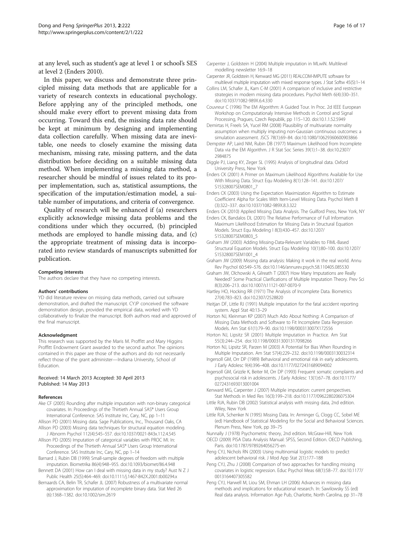<span id="page-15-0"></span>at any level, such as student's age at level 1 or school's SES at level 2 (Enders 2010).

In this paper, we discuss and demonstrate three principled missing data methods that are applicable for a variety of research contexts in educational psychology. Before applying any of the principled methods, one should make every effort to prevent missing data from occurring. Toward this end, the missing data rate should be kept at minimum by designing and implementing data collection carefully. When missing data are inevitable, one needs to closely examine the missing data mechanism, missing rate, missing pattern, and the data distribution before deciding on a suitable missing data method. When implementing a missing data method, a researcher should be mindful of issues related to its proper implementation, such as, statistical assumptions, the specification of the imputation/estimation model, a suitable number of imputations, and criteria of convergence.

Quality of research will be enhanced if (a) researchers explicitly acknowledge missing data problems and the conditions under which they occurred, (b) principled methods are employed to handle missing data, and (c) the appropriate treatment of missing data is incorporated into review standards of manuscripts submitted for publication.

#### Competing interests

The authors declare that they have no competing interests.

#### Authors' contributions

YD did literature review on missing data methods, carried out software demonstration, and drafted the manuscript. CYJP conceived the software demonstration design, provided the empirical data, worked with YD collaboratively to finalize the manuscript. Both authors read and approved of the final manuscript.

#### Acknowledgment

This research was supported by the Maris M. Proffitt and Mary Higgins Proffitt Endowment Grant awarded to the second author. The opinions contained in this paper are those of the authors and do not necessarily reflect those of the grant administer—Indiana University, School of Education.

#### Received: 14 March 2013 Accepted: 30 April 2013 Published: 14 May 2013

#### References

- Ake CF (2005) Rounding after multiple imputation with non-binary categorical covariates. In: Proceedings of the Thirtieth Annual SAS® Users Group International Conference. SAS Institute Inc, Cary, NC, pp 1–11
- Allison PD (2001) Missing data. Sage Publications, Inc., Thousand Oaks, CA Allison PD (2003) Missing data techniques for structural equation modeling.
- J Abnorm Psychol 112(4):545–557. doi:[10.1037/0021-843x.112.4.545](http://dx.doi.org/10.1037/0021-843x.112.4.545) Allison PD (2005) Imputation of categorical variables with PROC MI. In: Proceedings of the Thirtieth Annual SAS® Users Group International Conference. SAS Institute Inc, Cary, NC, pp 1–14
- Barnard J, Rubin DB (1999) Small-sample degrees of freedom with multiple imputation. Biometrika 86(4):948–955. doi[:10.1093/biomet/86.4.948](http://dx.doi.org/10.1093/biomet/86.4.948)
- Bennett DA (2001) How can I deal with missing data in my study? Aust N Z J Public Health 25(5):464–469. doi[:10.1111/j.1467-842X.2001.tb00294.x](http://dx.doi.org/10.1111/j.1467-842X.2001.tb00294.x)
- Bernaards CA, Belin TR, Schafer JL (2007) Robustness of a multivariate normal approximation for imputation of incomplete binary data. Stat Med 26 (6):1368–1382. doi[:10.1002/sim.2619](http://dx.doi.org/10.1002/sim.2619)
- Carpenter J, Goldstein H (2004) Multiple imputation in MLwiN. Multilevel modelling newsletter 16:9–18
- Carpenter JR, Goldstein H, Kenward MG (2011) REALCOM-IMPUTE software for multilevel multiple imputation with mixed response types. J Stat Softw 45(5):1–14
- Collins LM, Schafer JL, Kam C-M (2001) A comparison of inclusive and restrictive strategies in modern missing data procedures. Psychol Meth 6(4):330–351. doi[:10.1037/1082-989X.6.4.330](http://dx.doi.org/10.1037/1082-989X.6.4.330)
- Couvreur C (1996) The EM Algorithm: A Guided Tour. In Proc. 2d IEEE European Workshop on Computationaly Intensive Methods in Control and Signal Processing, Pragues, Czech Republik, pp 115–120. doi[:10.1.1.52.5949](http://dx.doi.org/10.1.1.52.5949)
- Demirtas H, Freels SA, Yucel RM (2008) Plausibility of multivariate normality assumption when multiply imputing non-Gaussian continuous outcomes: a simulation assessment. JSCS 78(1):69–84. doi:[10.1080/10629360600903866](http://dx.doi.org/10.1080/10629360600903866)
- Dempster AP, Laird NM, Rubin DB (1977) Maximum Likelihood from Incomplete Data via the EM Algorithm. J R Stat Soc Series 39(1):1–38. doi:[10.2307/](http://dx.doi.org/10.2307/2984875) [2984875](http://dx.doi.org/10.2307/2984875)
- Diggle PJ, Liang KY, Zeger SL (1995) Analysis of longitudinal data. Oxford University Press, New York
- Enders CK (2001) A Primer on Maximum Likelihood Algorithms Available for Use With Missing Data. Struct Equ Modeling 8(1):128–141. doi[:10.1207/](http://dx.doi.org/10.1207/S15328007SEM0801_7) [S15328007SEM0801\\_7](http://dx.doi.org/10.1207/S15328007SEM0801_7)
- Enders CK (2003) Using the Expectation Maximization Algorithm to Estimate Coefficient Alpha for Scales With Item-Level Missing Data. Psychol Meth 8 (3):322–337. doi:[10.1037/1082-989X.8.3.322](http://dx.doi.org/10.1037/1082-989X.8.3.322)

Enders CK (2010) Applied Missing Data Analysis. The Guilford Press, New York, NY

- Enders CK, Bandalos DL (2001) The Relative Performance of Full Information Maximum Likelihood Estimation for Missing Data in Structural Equation Models. Struct Equ Modeling l 8(3):430–457. doi:[10.1207/](http://dx.doi.org/10.1207/S15328007SEM0803_5) [S15328007SEM0803\\_5](http://dx.doi.org/10.1207/S15328007SEM0803_5)
- Graham JW (2003) Adding Missing-Data-Relevant Variables to FIML-Based Structural Equation Models. Struct Equ Modeling 10(1):80–100. doi[:10.1207/](http://dx.doi.org/10.1207/S15328007SEM1001_4) [S15328007SEM1001\\_4](http://dx.doi.org/10.1207/S15328007SEM1001_4)
- Graham JW (2009) Missing data analysis: Making it work in the real world. Annu Rev Psychol 60:549–576. doi[:10.1146/annurev.psych.58.110405.085530](http://dx.doi.org/10.1146/annurev.psych.58.110405.085530)
- Graham JW, Olchowski A, Gilreath T (2007) How Many Imputations are Really Needed? Some Practical Clarifications of Multiple Imputation Theory. Prev Sci 8(3):206–213. doi[:10.1007/s11121-007-0070-9](http://dx.doi.org/10.1007/s11121-007-0070-9)
- Hartley HO, Hocking RR (1971) The Analysis of Incomplete Data. Biometrics 27(4):783–823. doi:[10.2307/2528820](http://dx.doi.org/10.2307/2528820)
- Heitjan DF, Little RJ (1991) Multiple imputation for the fatal accident reporting system. Appl Stat 40:13–29
- Horton NJ, Kleinman KP (2007) Much Ado About Nothing: A Comparison of Missing Data Methods and Software to Fit Incomplete Data Regression Models. Am Stat 61(1):79–90. doi:[10.1198/000313007X172556](http://dx.doi.org/10.1198/000313007X172556)
- Horton NJ, Lipsitz SR (2001) Multiple Imputation in Practice. Am Stat 55(3):244–254. doi:[10.1198/000313001317098266](http://dx.doi.org/10.1198/000313001317098266)
- Horton NJ, Lipsitz SR, Parzen M (2003) A Potential for Bias When Rounding in Multiple Imputation. Am Stat 57(4):229–232. doi[:10.1198/0003130032314](http://dx.doi.org/10.1198/0003130032314)
- Ingersoll GM, Orr DP (1989) Behavioral and emotional risk in early adolescents. J Early Adolesc 9(4):396–408. doi:[10.1177/0272431689094002](http://dx.doi.org/10.1177/0272431689094002)
- Ingersoll GM, Grizzle K, Beiter M, Orr DP (1993) Frequent somatic complaints and psychosocial risk in adolescents. J Early Adolesc 13(1):67–78. doi:[10.1177/](http://dx.doi.org/10.1177/0272431693013001004) [0272431693013001004](http://dx.doi.org/10.1177/0272431693013001004)
- Kenward MG, Carpenter J (2007) Multiple imputation: current perspectives. Stat Methods in Med Res 16(3):199–218. doi:[10.1177/0962280206075304](http://dx.doi.org/10.1177/0962280206075304)
- Little RJA, Rubin DB (2002) Statistical analysis with missing data, 2nd edition. Wiley, New York
- Little RJA, Schenker N (1995) Missing Data. In: Arminger G, Clogg CC, Sobel ME (ed) Handbook of Statistical Modeling for the Social and Behavioral Sciences. Plenum Press, New York, pp 39–75

Nunnally J (1978) Psychometric theory, 2nd edition. McGraw-Hill, New York

- OECD (2009) PISA Data Analysis Manual: SPSS, Second Edition. OECD Publishing, Paris. doi[:10.1787/9789264056275-en](http://dx.doi.org/10.1787/9789264056275-en)
- Peng CYJ, Nichols RN (2003) Using multinomial logistic models to predict adolescent behavioral risk. J Mod App Stat 2(1):177–188
- Peng CYJ, Zhu J (2008) Comparison of two approaches for handling missing covariates in logistic regression. Educ Psychol Meas 68(1):58–77. doi[:10.1177/](http://dx.doi.org/10.1177/0013164407305582) [0013164407305582](http://dx.doi.org/10.1177/0013164407305582)
- Peng CYJ, Harwell M, Liou SM, Ehman LH (2006) Advances in missing data methods and implications for educational research. In: Sawilowsky SS (ed) Real data analysis. Information Age Pub, Charlotte, North Carolina, pp 31–78